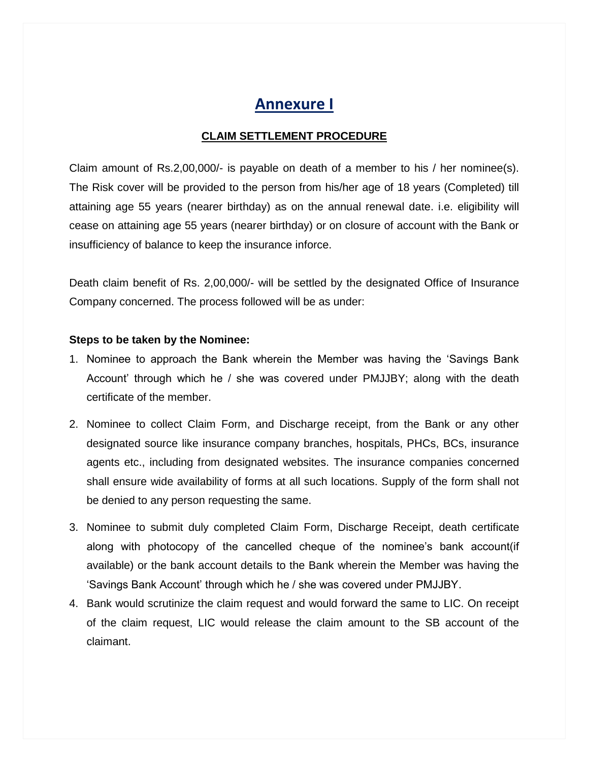# **Annexure I**

### **CLAIM SETTLEMENT PROCEDURE**

Claim amount of Rs.2,00,000/- is payable on death of a member to his / her nominee(s). The Risk cover will be provided to the person from his/her age of 18 years (Completed) till attaining age 55 years (nearer birthday) as on the annual renewal date. i.e. eligibility will cease on attaining age 55 years (nearer birthday) or on closure of account with the Bank or insufficiency of balance to keep the insurance inforce.

Death claim benefit of Rs. 2,00,000/- will be settled by the designated Office of Insurance Company concerned. The process followed will be as under:

#### **Steps to be taken by the Nominee:**

- 1. Nominee to approach the Bank wherein the Member was having the 'Savings Bank Account' through which he / she was covered under PMJJBY; along with the death certificate of the member.
- 2. Nominee to collect Claim Form, and Discharge receipt, from the Bank or any other designated source like insurance company branches, hospitals, PHCs, BCs, insurance agents etc., including from designated websites. The insurance companies concerned shall ensure wide availability of forms at all such locations. Supply of the form shall not be denied to any person requesting the same.
- 3. Nominee to submit duly completed Claim Form, Discharge Receipt, death certificate along with photocopy of the cancelled cheque of the nominee's bank account(if available) or the bank account details to the Bank wherein the Member was having the 'Savings Bank Account' through which he / she was covered under PMJJBY.
- 4. Bank would scrutinize the claim request and would forward the same to LIC. On receipt of the claim request, LIC would release the claim amount to the SB account of the claimant.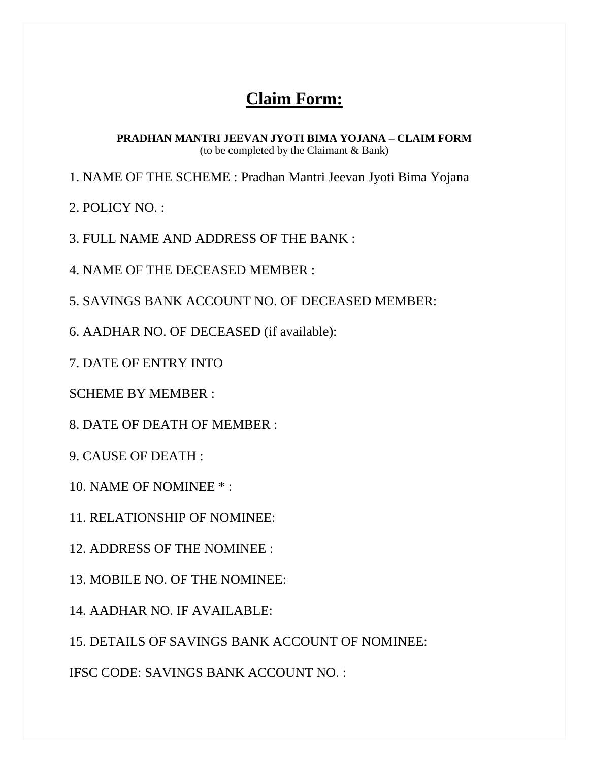# **Claim Form:**

**PRADHAN MANTRI JEEVAN JYOTI BIMA YOJANA – CLAIM FORM** (to be completed by the Claimant & Bank)

1. NAME OF THE SCHEME : Pradhan Mantri Jeevan Jyoti Bima Yojana

2. POLICY NO. :

3. FULL NAME AND ADDRESS OF THE BANK :

4. NAME OF THE DECEASED MEMBER :

5. SAVINGS BANK ACCOUNT NO. OF DECEASED MEMBER:

6. AADHAR NO. OF DECEASED (if available):

7. DATE OF ENTRY INTO

SCHEME BY MEMBER :

8. DATE OF DEATH OF MEMBER :

9. CAUSE OF DEATH :

10. NAME OF NOMINEE \* :

11. RELATIONSHIP OF NOMINEE:

12. ADDRESS OF THE NOMINEE :

13. MOBILE NO. OF THE NOMINEE:

14. AADHAR NO. IF AVAILABLE:

15. DETAILS OF SAVINGS BANK ACCOUNT OF NOMINEE:

IFSC CODE: SAVINGS BANK ACCOUNT NO. :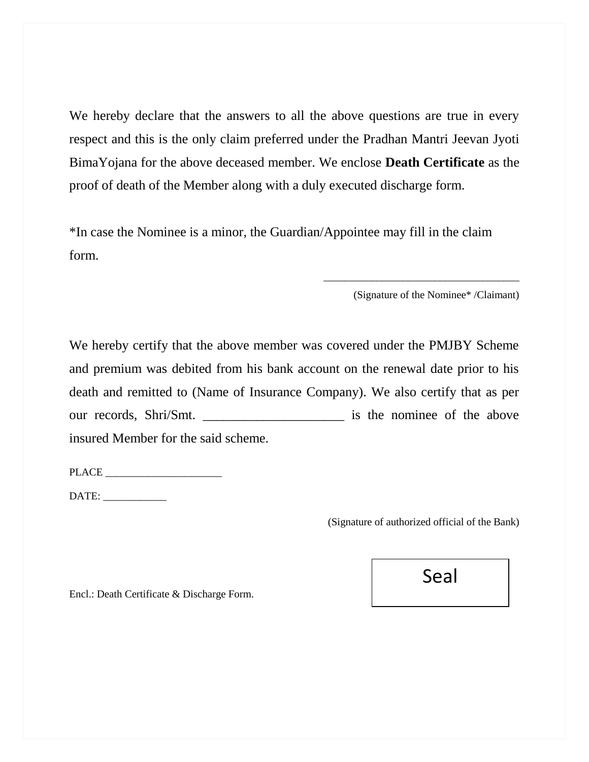We hereby declare that the answers to all the above questions are true in every respect and this is the only claim preferred under the Pradhan Mantri Jeevan Jyoti BimaYojana for the above deceased member. We enclose **Death Certificate** as the proof of death of the Member along with a duly executed discharge form.

\*In case the Nominee is a minor, the Guardian/Appointee may fill in the claim form.

(Signature of the Nominee\* /Claimant)

\_\_\_\_\_\_\_\_\_\_\_\_\_\_\_\_\_\_\_\_\_\_\_\_\_\_\_\_\_\_\_\_\_\_\_\_\_

We hereby certify that the above member was covered under the PMJBY Scheme and premium was debited from his bank account on the renewal date prior to his death and remitted to (Name of Insurance Company). We also certify that as per our records, Shri/Smt. \_\_\_\_\_\_\_\_\_\_\_\_\_\_\_\_\_\_\_\_\_ is the nominee of the above insured Member for the said scheme.

PLACE  $\Box$ 

DATE: \_\_\_\_\_\_\_\_\_\_\_\_

(Signature of authorized official of the Bank)

Encl.: Death Certificate & Discharge Form.

Seal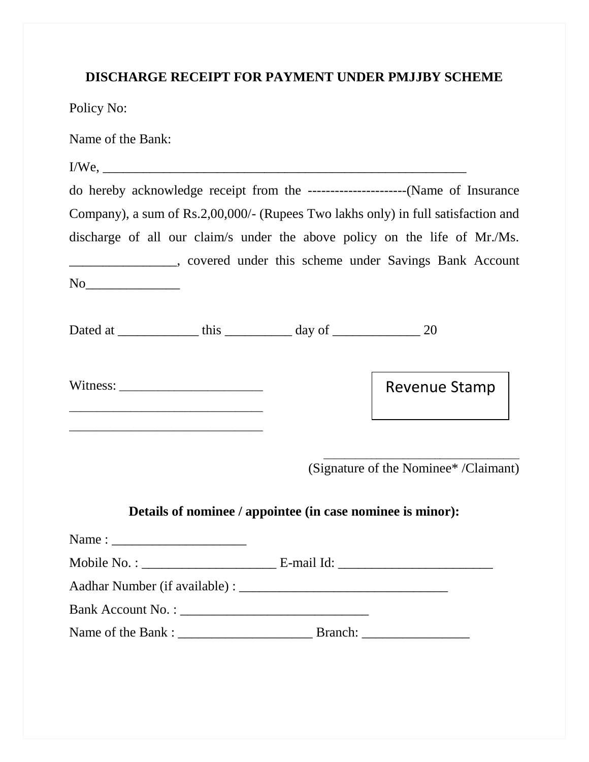### **DISCHARGE RECEIPT FOR PAYMENT UNDER PMJJBY SCHEME**

Policy No:

Name of the Bank:

|                                                                                                                                                                                                                                                                                                                                                                                                                       | Company), a sum of Rs.2,00,000/- (Rupees Two lakhs only) in full satisfaction and |
|-----------------------------------------------------------------------------------------------------------------------------------------------------------------------------------------------------------------------------------------------------------------------------------------------------------------------------------------------------------------------------------------------------------------------|-----------------------------------------------------------------------------------|
|                                                                                                                                                                                                                                                                                                                                                                                                                       | discharge of all our claim/s under the above policy on the life of Mr./Ms.        |
|                                                                                                                                                                                                                                                                                                                                                                                                                       | _____________________, covered under this scheme under Savings Bank Account       |
|                                                                                                                                                                                                                                                                                                                                                                                                                       |                                                                                   |
| Dated at _______________ this _____________ day of ________________ 20                                                                                                                                                                                                                                                                                                                                                |                                                                                   |
| Witness: $\frac{1}{\sqrt{1-\frac{1}{2}}}\left\{ \frac{1}{2}, \frac{1}{2}, \frac{1}{2}, \frac{1}{2}, \frac{1}{2}, \frac{1}{2}, \frac{1}{2}, \frac{1}{2}, \frac{1}{2}, \frac{1}{2}, \frac{1}{2}, \frac{1}{2}, \frac{1}{2}, \frac{1}{2}, \frac{1}{2}, \frac{1}{2}, \frac{1}{2}, \frac{1}{2}, \frac{1}{2}, \frac{1}{2}, \frac{1}{2}, \frac{1}{2}, \frac{1}{2}, \frac{1}{2}, \frac{1}{2}, \frac{1}{2}, \frac{1}{2}, \frac$ | Revenue Stamp                                                                     |
|                                                                                                                                                                                                                                                                                                                                                                                                                       | (Signature of the Nominee* /Claimant)                                             |
|                                                                                                                                                                                                                                                                                                                                                                                                                       |                                                                                   |
|                                                                                                                                                                                                                                                                                                                                                                                                                       |                                                                                   |
|                                                                                                                                                                                                                                                                                                                                                                                                                       |                                                                                   |
|                                                                                                                                                                                                                                                                                                                                                                                                                       |                                                                                   |
|                                                                                                                                                                                                                                                                                                                                                                                                                       |                                                                                   |
|                                                                                                                                                                                                                                                                                                                                                                                                                       | Details of nominee / appointee (in case nominee is minor):                        |